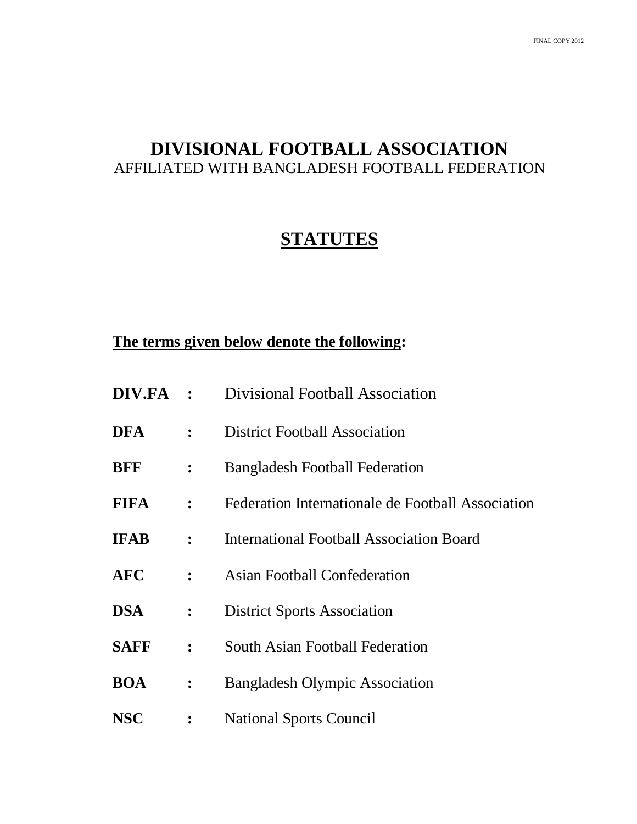# **DIVISIONAL FOOTBALL ASSOCIATION** AFFILIATED WITH BANGLADESH FOOTBALL FEDERATION

# **STATUTES**

# **The terms given below denote the following:**

|             |                  | <b>DIV.FA</b> : Divisional Football Association   |  |  |
|-------------|------------------|---------------------------------------------------|--|--|
| <b>DFA</b>  | $\ddot{\cdot}$   | <b>District Football Association</b>              |  |  |
| <b>BFF</b>  | $\ddot{\cdot}$   | <b>Bangladesh Football Federation</b>             |  |  |
| <b>FIFA</b> | $\ddot{\cdot}$   | Federation Internationale de Football Association |  |  |
| <b>IFAB</b> | $\ddot{\cdot}$   | <b>International Football Association Board</b>   |  |  |
| <b>AFC</b>  | $\ddot{\cdot}$   | <b>Asian Football Confederation</b>               |  |  |
| <b>DSA</b>  | $\ddot{\bullet}$ | <b>District Sports Association</b>                |  |  |
| <b>SAFF</b> | $\ddot{\bullet}$ | <b>South Asian Football Federation</b>            |  |  |
| <b>BOA</b>  | $\ddot{\cdot}$   | <b>Bangladesh Olympic Association</b>             |  |  |
| <b>NSC</b>  | $\ddot{\cdot}$   | <b>National Sports Council</b>                    |  |  |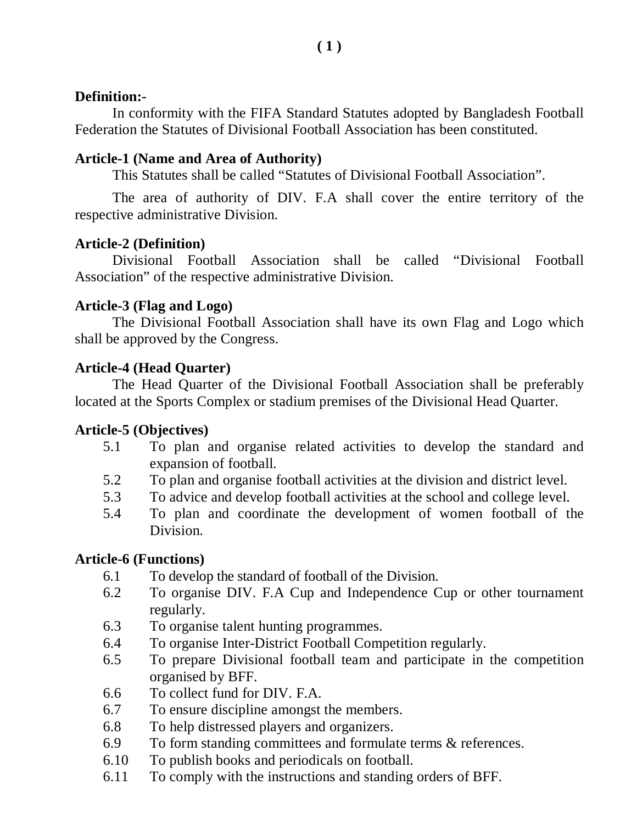# **Definition:-**

In conformity with the FIFA Standard Statutes adopted by Bangladesh Football Federation the Statutes of Divisional Football Association has been constituted.

# **Article-1 (Name and Area of Authority)**

This Statutes shall be called "Statutes of Divisional Football Association".

The area of authority of DIV. F.A shall cover the entire territory of the respective administrative Division.

# **Article-2 (Definition)**

Divisional Football Association shall be called "Divisional Football Association" of the respective administrative Division.

### **Article-3 (Flag and Logo)**

The Divisional Football Association shall have its own Flag and Logo which shall be approved by the Congress.

# **Article-4 (Head Quarter)**

The Head Quarter of the Divisional Football Association shall be preferably located at the Sports Complex or stadium premises of the Divisional Head Quarter.

# **Article-5 (Objectives)**

- 5.1 To plan and organise related activities to develop the standard and expansion of football.
- 5.2 To plan and organise football activities at the division and district level.
- 5.3 To advice and develop football activities at the school and college level.
- 5.4 To plan and coordinate the development of women football of the Division.

# **Article-6 (Functions)**

- 6.1 To develop the standard of football of the Division.
- 6.2 To organise DIV. F.A Cup and Independence Cup or other tournament regularly.
- 6.3 To organise talent hunting programmes.
- 6.4 To organise Inter-District Football Competition regularly.
- 6.5 To prepare Divisional football team and participate in the competition organised by BFF.
- 6.6 To collect fund for DIV. F.A.
- 6.7 To ensure discipline amongst the members.
- 6.8 To help distressed players and organizers.
- 6.9 To form standing committees and formulate terms & references.
- 6.10 To publish books and periodicals on football.
- 6.11 To comply with the instructions and standing orders of BFF.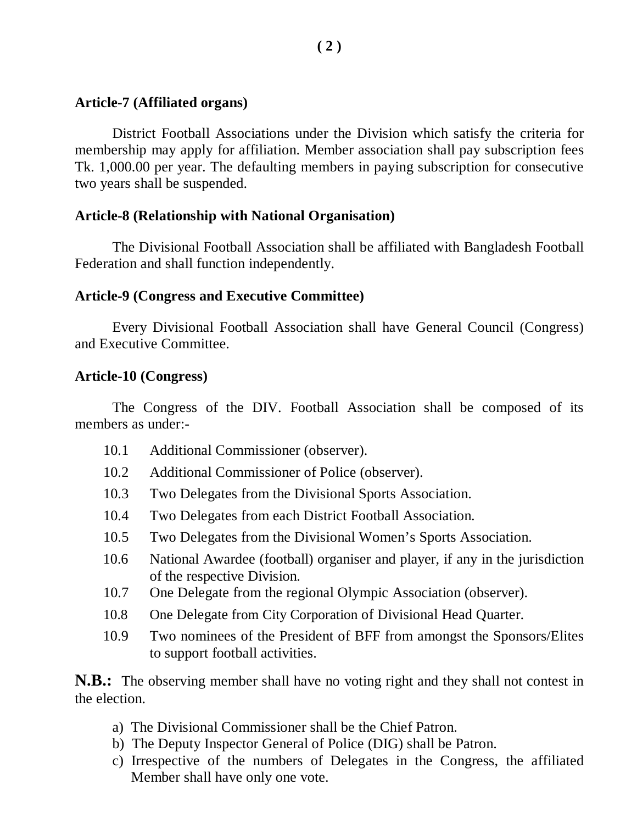#### **Article-7 (Affiliated organs)**

District Football Associations under the Division which satisfy the criteria for membership may apply for affiliation. Member association shall pay subscription fees Tk. 1,000.00 per year. The defaulting members in paying subscription for consecutive two years shall be suspended.

# **Article-8 (Relationship with National Organisation)**

The Divisional Football Association shall be affiliated with Bangladesh Football Federation and shall function independently.

# **Article-9 (Congress and Executive Committee)**

Every Divisional Football Association shall have General Council (Congress) and Executive Committee.

### **Article-10 (Congress)**

The Congress of the DIV. Football Association shall be composed of its members as under:-

- 10.1 Additional Commissioner (observer).
- 10.2 Additional Commissioner of Police (observer).
- 10.3 Two Delegates from the Divisional Sports Association.
- 10.4 Two Delegates from each District Football Association.
- 10.5 Two Delegates from the Divisional Women's Sports Association.
- 10.6 National Awardee (football) organiser and player, if any in the jurisdiction of the respective Division.
- 10.7 One Delegate from the regional Olympic Association (observer).
- 10.8 One Delegate from City Corporation of Divisional Head Quarter.
- 10.9 Two nominees of the President of BFF from amongst the Sponsors/Elites to support football activities.

**N.B.:** The observing member shall have no voting right and they shall not contest in the election.

- a) The Divisional Commissioner shall be the Chief Patron.
- b) The Deputy Inspector General of Police (DIG) shall be Patron.
- c) Irrespective of the numbers of Delegates in the Congress, the affiliated Member shall have only one vote.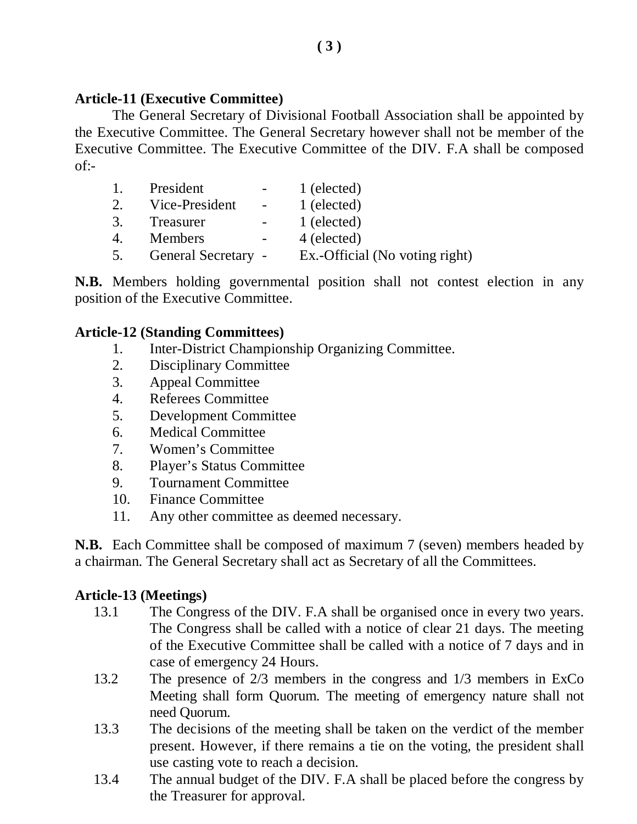### **Article-11 (Executive Committee)**

The General Secretary of Divisional Football Association shall be appointed by the Executive Committee. The General Secretary however shall not be member of the Executive Committee. The Executive Committee of the DIV. F.A shall be composed  $of -$ 

| 1. | President           | $\sim$ 100 $\mu$ | 1 (elected)                    |
|----|---------------------|------------------|--------------------------------|
| 2. | Vice-President      | $\sim 10^{-10}$  | 1 (elected)                    |
| 3. | Treasurer           |                  | 1 (elected)                    |
| 4. | <b>Members</b>      | $\sim$ $-$       | 4 (elected)                    |
| 5. | General Secretary - |                  | Ex.-Official (No voting right) |

**N.B.** Members holding governmental position shall not contest election in any position of the Executive Committee.

#### **Article-12 (Standing Committees)**

- 1. Inter-District Championship Organizing Committee.
- 2. Disciplinary Committee
- 3. Appeal Committee
- 4. Referees Committee
- 5. Development Committee
- 6. Medical Committee
- 7. Women's Committee
- 8. Player's Status Committee
- 9. Tournament Committee
- 10. Finance Committee
- 11. Any other committee as deemed necessary.

**N.B.** Each Committee shall be composed of maximum 7 (seven) members headed by a chairman. The General Secretary shall act as Secretary of all the Committees.

#### **Article-13 (Meetings)**

- 13.1 The Congress of the DIV. F.A shall be organised once in every two years. The Congress shall be called with a notice of clear 21 days. The meeting of the Executive Committee shall be called with a notice of 7 days and in case of emergency 24 Hours.
- 13.2 The presence of 2/3 members in the congress and 1/3 members in ExCo Meeting shall form Quorum. The meeting of emergency nature shall not need Quorum.
- 13.3 The decisions of the meeting shall be taken on the verdict of the member present. However, if there remains a tie on the voting, the president shall use casting vote to reach a decision.
- 13.4 The annual budget of the DIV. F.A shall be placed before the congress by the Treasurer for approval.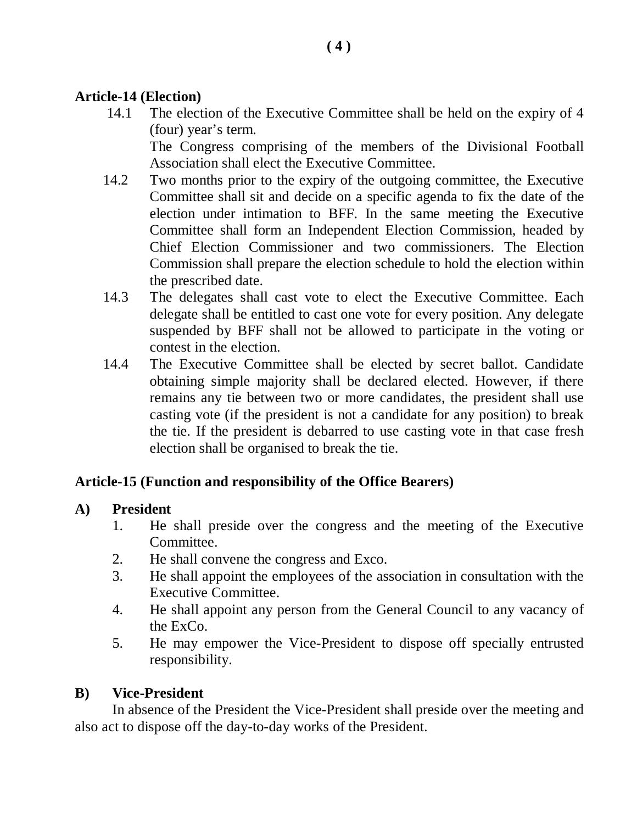# **Article-14 (Election)**

14.1 The election of the Executive Committee shall be held on the expiry of 4 (four) year's term.

The Congress comprising of the members of the Divisional Football Association shall elect the Executive Committee.

- 14.2 Two months prior to the expiry of the outgoing committee, the Executive Committee shall sit and decide on a specific agenda to fix the date of the election under intimation to BFF. In the same meeting the Executive Committee shall form an Independent Election Commission, headed by Chief Election Commissioner and two commissioners. The Election Commission shall prepare the election schedule to hold the election within the prescribed date.
- 14.3 The delegates shall cast vote to elect the Executive Committee. Each delegate shall be entitled to cast one vote for every position. Any delegate suspended by BFF shall not be allowed to participate in the voting or contest in the election.
- 14.4 The Executive Committee shall be elected by secret ballot. Candidate obtaining simple majority shall be declared elected. However, if there remains any tie between two or more candidates, the president shall use casting vote (if the president is not a candidate for any position) to break the tie. If the president is debarred to use casting vote in that case fresh election shall be organised to break the tie.

# **Article-15 (Function and responsibility of the Office Bearers)**

# **A) President**

- 1. He shall preside over the congress and the meeting of the Executive Committee.
- 2. He shall convene the congress and Exco.
- 3. He shall appoint the employees of the association in consultation with the Executive Committee.
- 4. He shall appoint any person from the General Council to any vacancy of the ExCo.
- 5. He may empower the Vice-President to dispose off specially entrusted responsibility.

# **B) Vice-President**

In absence of the President the Vice-President shall preside over the meeting and also act to dispose off the day-to-day works of the President.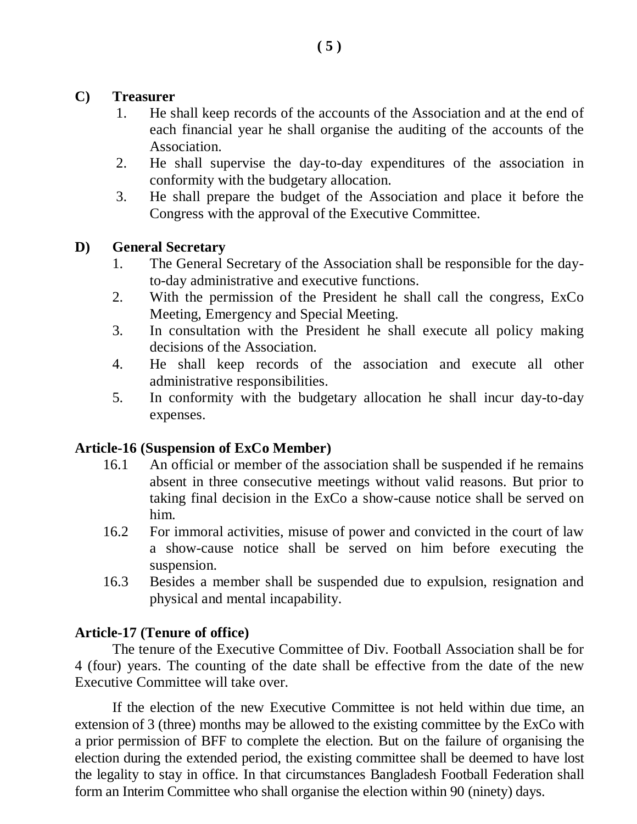#### **C) Treasurer**

- 1. He shall keep records of the accounts of the Association and at the end of each financial year he shall organise the auditing of the accounts of the Association.
- 2. He shall supervise the day-to-day expenditures of the association in conformity with the budgetary allocation.
- 3. He shall prepare the budget of the Association and place it before the Congress with the approval of the Executive Committee.

#### **D) General Secretary**

- 1. The General Secretary of the Association shall be responsible for the dayto-day administrative and executive functions.
- 2. With the permission of the President he shall call the congress, ExCo Meeting, Emergency and Special Meeting.
- 3. In consultation with the President he shall execute all policy making decisions of the Association.
- 4. He shall keep records of the association and execute all other administrative responsibilities.
- 5. In conformity with the budgetary allocation he shall incur day-to-day expenses.

#### **Article-16 (Suspension of ExCo Member)**

- 16.1 An official or member of the association shall be suspended if he remains absent in three consecutive meetings without valid reasons. But prior to taking final decision in the ExCo a show-cause notice shall be served on him.
- 16.2 For immoral activities, misuse of power and convicted in the court of law a show-cause notice shall be served on him before executing the suspension.
- 16.3 Besides a member shall be suspended due to expulsion, resignation and physical and mental incapability.

#### **Article-17 (Tenure of office)**

The tenure of the Executive Committee of Div. Football Association shall be for 4 (four) years. The counting of the date shall be effective from the date of the new Executive Committee will take over.

If the election of the new Executive Committee is not held within due time, an extension of 3 (three) months may be allowed to the existing committee by the ExCo with a prior permission of BFF to complete the election. But on the failure of organising the election during the extended period, the existing committee shall be deemed to have lost the legality to stay in office. In that circumstances Bangladesh Football Federation shall form an Interim Committee who shall organise the election within 90 (ninety) days.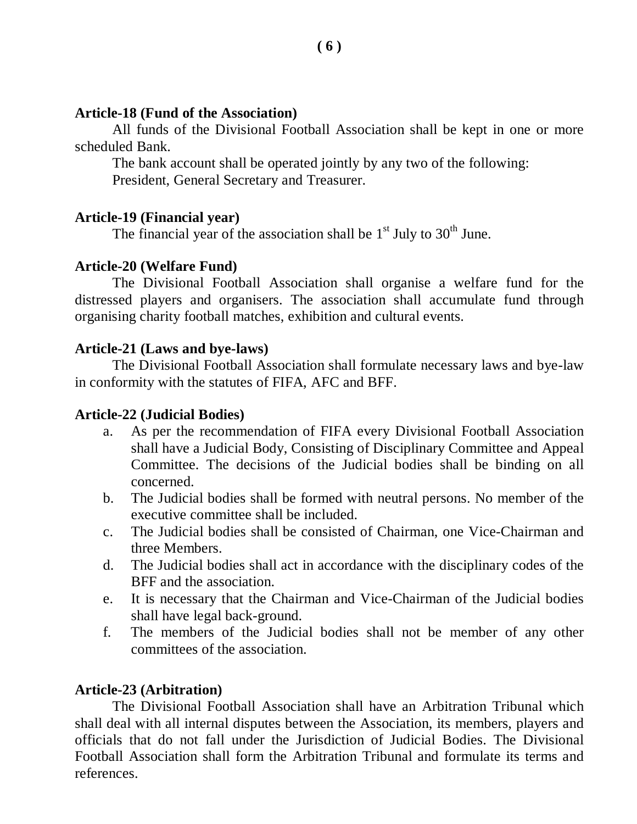#### **Article-18 (Fund of the Association)**

All funds of the Divisional Football Association shall be kept in one or more scheduled Bank.

The bank account shall be operated jointly by any two of the following: President, General Secretary and Treasurer.

#### **Article-19 (Financial year)**

The financial year of the association shall be  $1<sup>st</sup>$  July to  $30<sup>th</sup>$  June.

#### **Article-20 (Welfare Fund)**

The Divisional Football Association shall organise a welfare fund for the distressed players and organisers. The association shall accumulate fund through organising charity football matches, exhibition and cultural events.

#### **Article-21 (Laws and bye-laws)**

The Divisional Football Association shall formulate necessary laws and bye-law in conformity with the statutes of FIFA, AFC and BFF.

#### **Article-22 (Judicial Bodies)**

- a. As per the recommendation of FIFA every Divisional Football Association shall have a Judicial Body, Consisting of Disciplinary Committee and Appeal Committee. The decisions of the Judicial bodies shall be binding on all concerned.
- b. The Judicial bodies shall be formed with neutral persons. No member of the executive committee shall be included.
- c. The Judicial bodies shall be consisted of Chairman, one Vice-Chairman and three Members.
- d. The Judicial bodies shall act in accordance with the disciplinary codes of the BFF and the association.
- e. It is necessary that the Chairman and Vice-Chairman of the Judicial bodies shall have legal back-ground.
- f. The members of the Judicial bodies shall not be member of any other committees of the association.

#### **Article-23 (Arbitration)**

The Divisional Football Association shall have an Arbitration Tribunal which shall deal with all internal disputes between the Association, its members, players and officials that do not fall under the Jurisdiction of Judicial Bodies. The Divisional Football Association shall form the Arbitration Tribunal and formulate its terms and references.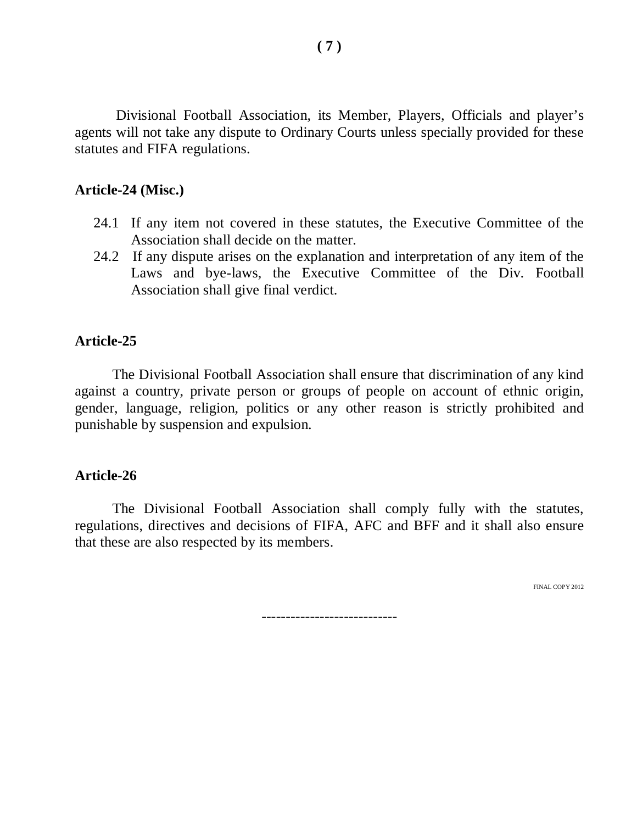Divisional Football Association, its Member, Players, Officials and player's agents will not take any dispute to Ordinary Courts unless specially provided for these statutes and FIFA regulations.

#### **Article-24 (Misc.)**

- 24.1 If any item not covered in these statutes, the Executive Committee of the Association shall decide on the matter.
- 24.2 If any dispute arises on the explanation and interpretation of any item of the Laws and bye-laws, the Executive Committee of the Div. Football Association shall give final verdict.

#### **Article-25**

The Divisional Football Association shall ensure that discrimination of any kind against a country, private person or groups of people on account of ethnic origin, gender, language, religion, politics or any other reason is strictly prohibited and punishable by suspension and expulsion.

#### **Article-26**

The Divisional Football Association shall comply fully with the statutes, regulations, directives and decisions of FIFA, AFC and BFF and it shall also ensure that these are also respected by its members.

FINAL COPY 2012

----------------------------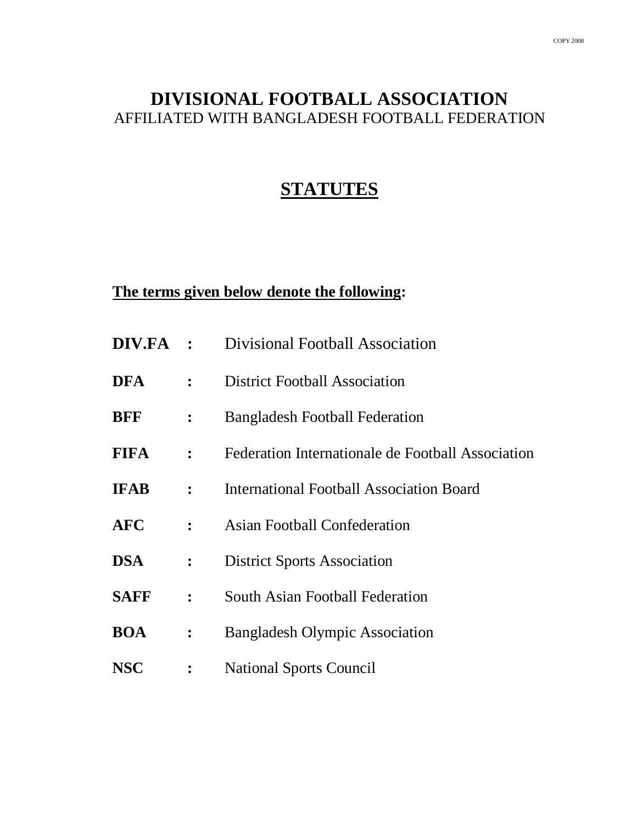# **DIVISIONAL FOOTBALL ASSOCIATION** AFFILIATED WITH BANGLADESH FOOTBALL FEDERATION

# **STATUTES**

# **The terms given below denote the following:**

| DIV.FA :    |                | Divisional Football Association                   |  |  |
|-------------|----------------|---------------------------------------------------|--|--|
| <b>DFA</b>  | $\ddot{\cdot}$ | <b>District Football Association</b>              |  |  |
| <b>BFF</b>  | :              | <b>Bangladesh Football Federation</b>             |  |  |
| <b>FIFA</b> | $\ddot{\cdot}$ | Federation Internationale de Football Association |  |  |
| <b>IFAB</b> | $\ddot{\cdot}$ | <b>International Football Association Board</b>   |  |  |
| <b>AFC</b>  | $\ddot{\cdot}$ | <b>Asian Football Confederation</b>               |  |  |
| <b>DSA</b>  | :              | <b>District Sports Association</b>                |  |  |
| <b>SAFF</b> | $\ddot{\cdot}$ | <b>South Asian Football Federation</b>            |  |  |
| <b>BOA</b>  | $\ddot{\cdot}$ | <b>Bangladesh Olympic Association</b>             |  |  |
| <b>NSC</b>  | :              | <b>National Sports Council</b>                    |  |  |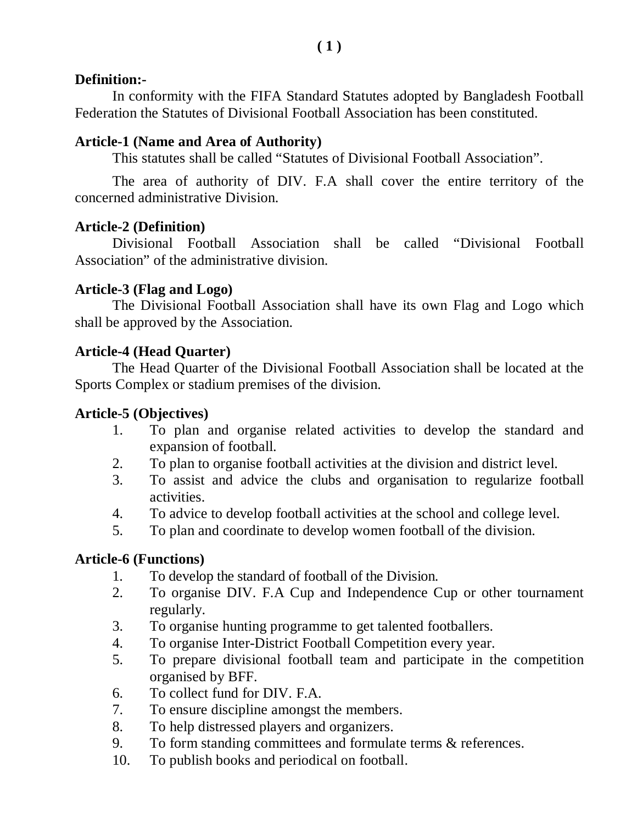# **Definition:-**

In conformity with the FIFA Standard Statutes adopted by Bangladesh Football Federation the Statutes of Divisional Football Association has been constituted.

# **Article-1 (Name and Area of Authority)**

This statutes shall be called "Statutes of Divisional Football Association".

The area of authority of DIV. F.A shall cover the entire territory of the concerned administrative Division.

# **Article-2 (Definition)**

Divisional Football Association shall be called "Divisional Football Association" of the administrative division.

# **Article-3 (Flag and Logo)**

The Divisional Football Association shall have its own Flag and Logo which shall be approved by the Association.

# **Article-4 (Head Quarter)**

The Head Quarter of the Divisional Football Association shall be located at the Sports Complex or stadium premises of the division.

# **Article-5 (Objectives)**

- 1. To plan and organise related activities to develop the standard and expansion of football.
- 2. To plan to organise football activities at the division and district level.
- 3. To assist and advice the clubs and organisation to regularize football activities.
- 4. To advice to develop football activities at the school and college level.
- 5. To plan and coordinate to develop women football of the division.

# **Article-6 (Functions)**

- 1. To develop the standard of football of the Division.
- 2. To organise DIV. F.A Cup and Independence Cup or other tournament regularly.
- 3. To organise hunting programme to get talented footballers.
- 4. To organise Inter-District Football Competition every year.
- 5. To prepare divisional football team and participate in the competition organised by BFF.
- 6. To collect fund for DIV. F.A.
- 7. To ensure discipline amongst the members.
- 8. To help distressed players and organizers.
- 9. To form standing committees and formulate terms & references.
- 10. To publish books and periodical on football.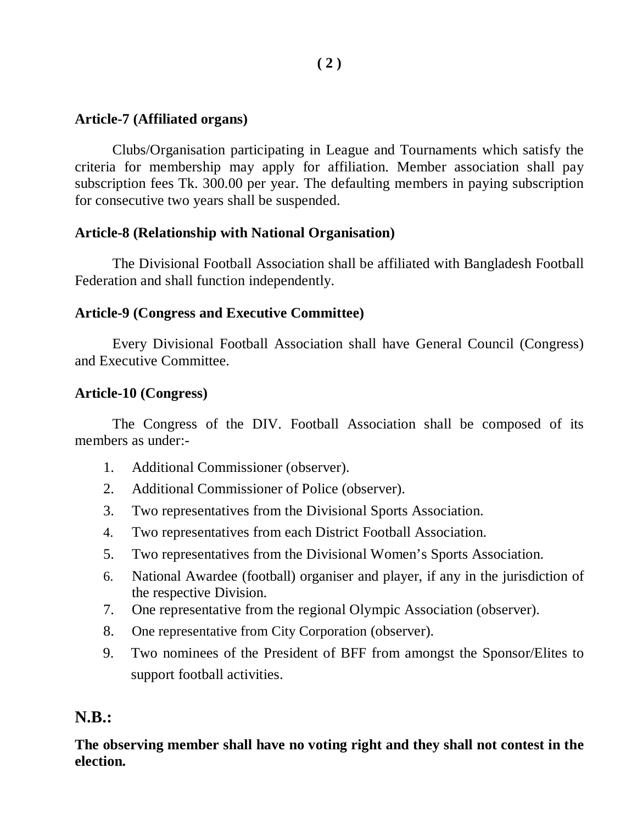### **Article-7 (Affiliated organs)**

Clubs/Organisation participating in League and Tournaments which satisfy the criteria for membership may apply for affiliation. Member association shall pay subscription fees Tk. 300.00 per year. The defaulting members in paying subscription for consecutive two years shall be suspended.

### **Article-8 (Relationship with National Organisation)**

The Divisional Football Association shall be affiliated with Bangladesh Football Federation and shall function independently.

### **Article-9 (Congress and Executive Committee)**

Every Divisional Football Association shall have General Council (Congress) and Executive Committee.

# **Article-10 (Congress)**

The Congress of the DIV. Football Association shall be composed of its members as under:-

- 1. Additional Commissioner (observer).
- 2. Additional Commissioner of Police (observer).
- 3. Two representatives from the Divisional Sports Association.
- 4. Two representatives from each District Football Association.
- 5. Two representatives from the Divisional Women's Sports Association.
- 6. National Awardee (football) organiser and player, if any in the jurisdiction of the respective Division.
- 7. One representative from the regional Olympic Association (observer).
- 8. One representative from City Corporation (observer).
- 9. Two nominees of the President of BFF from amongst the Sponsor/Elites to support football activities.

# **N.B.:**

**The observing member shall have no voting right and they shall not contest in the election.**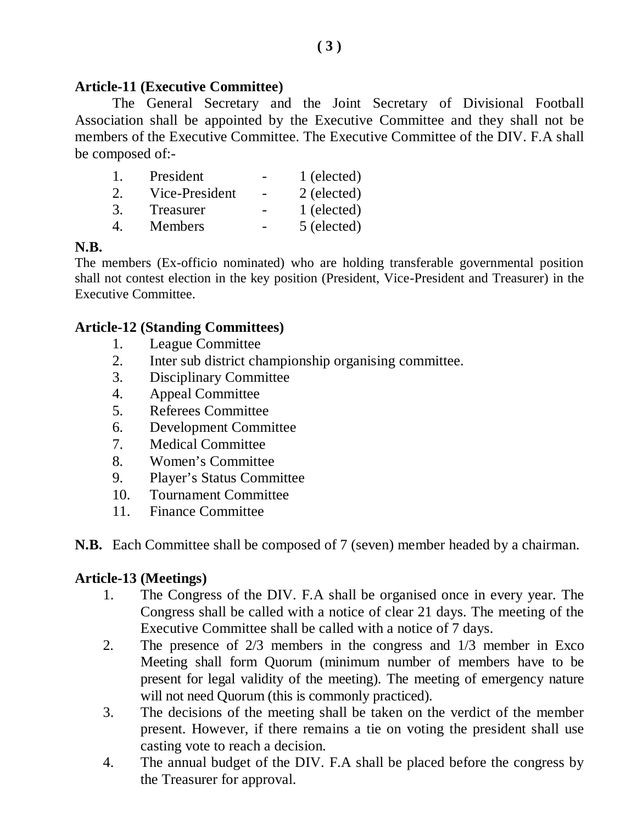#### **Article-11 (Executive Committee)**

The General Secretary and the Joint Secretary of Divisional Football Association shall be appointed by the Executive Committee and they shall not be members of the Executive Committee. The Executive Committee of the DIV. F.A shall be composed of:-

|                             | President      | 1 (elected) |
|-----------------------------|----------------|-------------|
| $\mathcal{D}_{\mathcal{L}}$ | Vice-President | 2 (elected) |
| 3.                          | Treasurer      | 1 (elected) |
|                             | <b>Members</b> | 5 (elected) |

#### **N.B.**

The members (Ex-officio nominated) who are holding transferable governmental position shall not contest election in the key position (President, Vice-President and Treasurer) in the Executive Committee.

#### **Article-12 (Standing Committees)**

- 1. League Committee
- 2. Inter sub district championship organising committee.
- 3. Disciplinary Committee
- 4. Appeal Committee
- 5. Referees Committee
- 6. Development Committee
- 7. Medical Committee
- 8. Women's Committee
- 9. Player's Status Committee
- 10. Tournament Committee
- 11. Finance Committee

**N.B.** Each Committee shall be composed of 7 (seven) member headed by a chairman.

#### **Article-13 (Meetings)**

- 1. The Congress of the DIV. F.A shall be organised once in every year. The Congress shall be called with a notice of clear 21 days. The meeting of the Executive Committee shall be called with a notice of 7 days.
- 2. The presence of 2/3 members in the congress and 1/3 member in Exco Meeting shall form Quorum (minimum number of members have to be present for legal validity of the meeting). The meeting of emergency nature will not need Quorum (this is commonly practiced).
- 3. The decisions of the meeting shall be taken on the verdict of the member present. However, if there remains a tie on voting the president shall use casting vote to reach a decision.
- 4. The annual budget of the DIV. F.A shall be placed before the congress by the Treasurer for approval.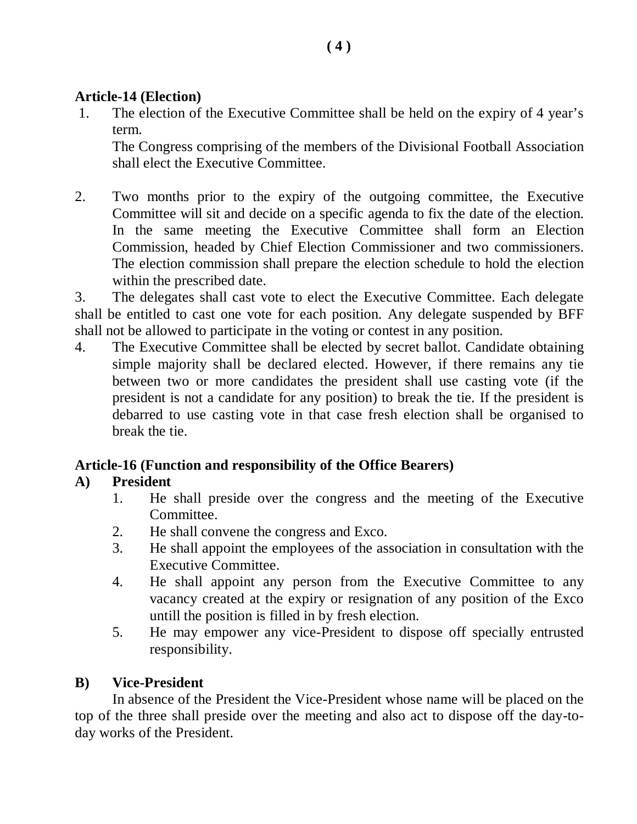#### **( 4 )**

# **Article-14 (Election)**

1. The election of the Executive Committee shall be held on the expiry of 4 year's term.

The Congress comprising of the members of the Divisional Football Association shall elect the Executive Committee.

2. Two months prior to the expiry of the outgoing committee, the Executive Committee will sit and decide on a specific agenda to fix the date of the election. In the same meeting the Executive Committee shall form an Election Commission, headed by Chief Election Commissioner and two commissioners. The election commission shall prepare the election schedule to hold the election within the prescribed date.

3. The delegates shall cast vote to elect the Executive Committee. Each delegate shall be entitled to cast one vote for each position. Any delegate suspended by BFF shall not be allowed to participate in the voting or contest in any position.

4. The Executive Committee shall be elected by secret ballot. Candidate obtaining simple majority shall be declared elected. However, if there remains any tie between two or more candidates the president shall use casting vote (if the president is not a candidate for any position) to break the tie. If the president is debarred to use casting vote in that case fresh election shall be organised to break the tie.

# **Article-16 (Function and responsibility of the Office Bearers)**

# **A) President**

- 1. He shall preside over the congress and the meeting of the Executive Committee.
- 2. He shall convene the congress and Exco.
- 3. He shall appoint the employees of the association in consultation with the Executive Committee.
- 4. He shall appoint any person from the Executive Committee to any vacancy created at the expiry or resignation of any position of the Exco untill the position is filled in by fresh election.
- 5. He may empower any vice-President to dispose off specially entrusted responsibility.

# **B) Vice-President**

In absence of the President the Vice-President whose name will be placed on the top of the three shall preside over the meeting and also act to dispose off the day-today works of the President.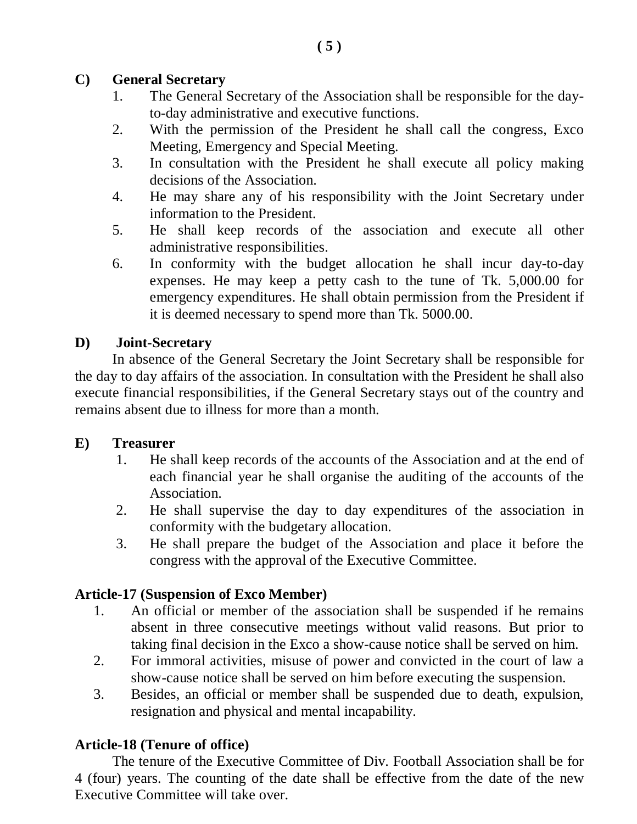# **C) General Secretary**

- 1. The General Secretary of the Association shall be responsible for the dayto-day administrative and executive functions.
- 2. With the permission of the President he shall call the congress, Exco Meeting, Emergency and Special Meeting.
- 3. In consultation with the President he shall execute all policy making decisions of the Association.
- 4. He may share any of his responsibility with the Joint Secretary under information to the President.
- 5. He shall keep records of the association and execute all other administrative responsibilities.
- 6. In conformity with the budget allocation he shall incur day-to-day expenses. He may keep a petty cash to the tune of Tk. 5,000.00 for emergency expenditures. He shall obtain permission from the President if it is deemed necessary to spend more than Tk. 5000.00.

# **D) Joint-Secretary**

In absence of the General Secretary the Joint Secretary shall be responsible for the day to day affairs of the association. In consultation with the President he shall also execute financial responsibilities, if the General Secretary stays out of the country and remains absent due to illness for more than a month.

# **E) Treasurer**

- 1. He shall keep records of the accounts of the Association and at the end of each financial year he shall organise the auditing of the accounts of the Association.
- 2. He shall supervise the day to day expenditures of the association in conformity with the budgetary allocation.
- 3. He shall prepare the budget of the Association and place it before the congress with the approval of the Executive Committee.

# **Article-17 (Suspension of Exco Member)**

- 1. An official or member of the association shall be suspended if he remains absent in three consecutive meetings without valid reasons. But prior to taking final decision in the Exco a show-cause notice shall be served on him.
- 2. For immoral activities, misuse of power and convicted in the court of law a show-cause notice shall be served on him before executing the suspension.
- 3. Besides, an official or member shall be suspended due to death, expulsion, resignation and physical and mental incapability.

# **Article-18 (Tenure of office)**

The tenure of the Executive Committee of Div. Football Association shall be for 4 (four) years. The counting of the date shall be effective from the date of the new Executive Committee will take over.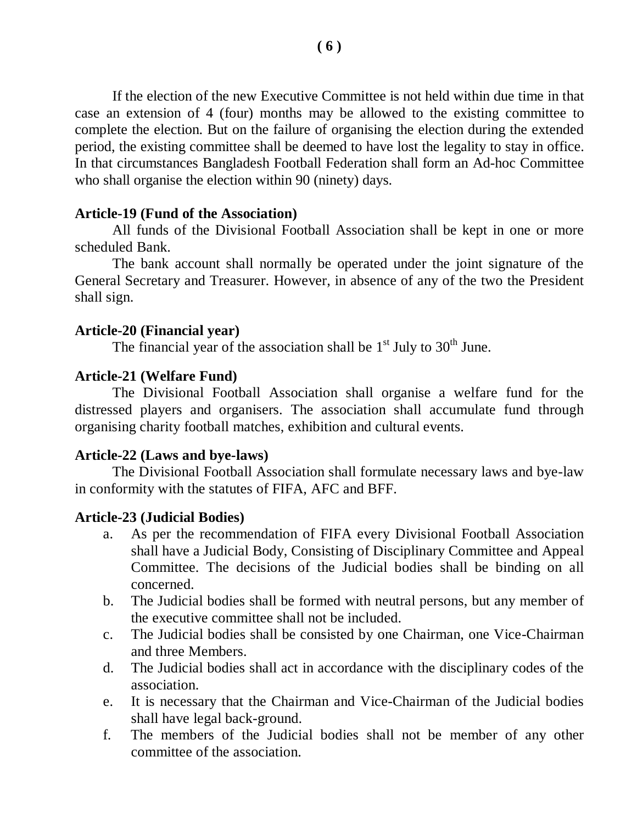If the election of the new Executive Committee is not held within due time in that case an extension of 4 (four) months may be allowed to the existing committee to complete the election. But on the failure of organising the election during the extended period, the existing committee shall be deemed to have lost the legality to stay in office. In that circumstances Bangladesh Football Federation shall form an Ad-hoc Committee who shall organise the election within 90 (ninety) days.

#### **Article-19 (Fund of the Association)**

All funds of the Divisional Football Association shall be kept in one or more scheduled Bank.

The bank account shall normally be operated under the joint signature of the General Secretary and Treasurer. However, in absence of any of the two the President shall sign.

#### **Article-20 (Financial year)**

The financial year of the association shall be  $1<sup>st</sup>$  July to  $30<sup>th</sup>$  June.

### **Article-21 (Welfare Fund)**

The Divisional Football Association shall organise a welfare fund for the distressed players and organisers. The association shall accumulate fund through organising charity football matches, exhibition and cultural events.

#### **Article-22 (Laws and bye-laws)**

The Divisional Football Association shall formulate necessary laws and bye-law in conformity with the statutes of FIFA, AFC and BFF.

#### **Article-23 (Judicial Bodies)**

- a. As per the recommendation of FIFA every Divisional Football Association shall have a Judicial Body, Consisting of Disciplinary Committee and Appeal Committee. The decisions of the Judicial bodies shall be binding on all concerned.
- b. The Judicial bodies shall be formed with neutral persons, but any member of the executive committee shall not be included.
- c. The Judicial bodies shall be consisted by one Chairman, one Vice-Chairman and three Members.
- d. The Judicial bodies shall act in accordance with the disciplinary codes of the association.
- e. It is necessary that the Chairman and Vice-Chairman of the Judicial bodies shall have legal back-ground.
- f. The members of the Judicial bodies shall not be member of any other committee of the association.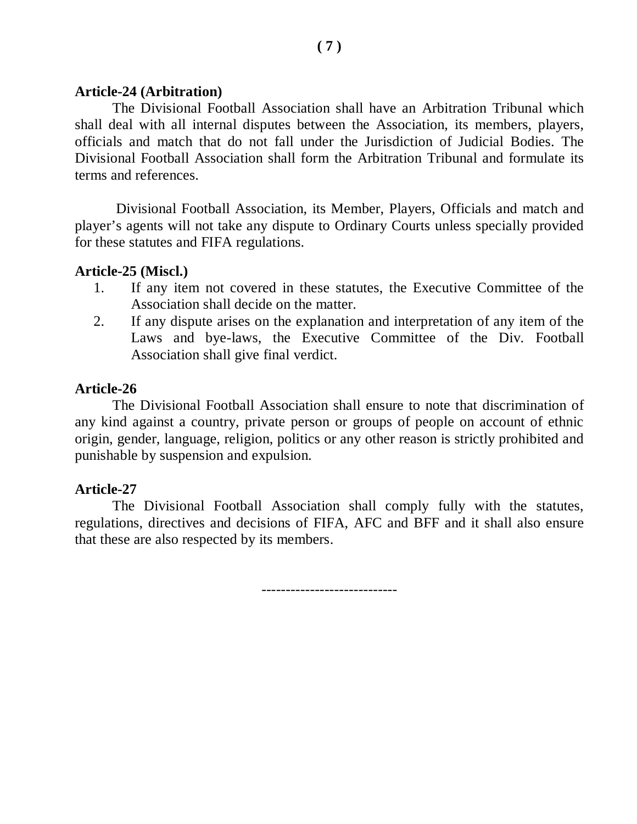#### **Article-24 (Arbitration)**

The Divisional Football Association shall have an Arbitration Tribunal which shall deal with all internal disputes between the Association, its members, players, officials and match that do not fall under the Jurisdiction of Judicial Bodies. The Divisional Football Association shall form the Arbitration Tribunal and formulate its terms and references.

Divisional Football Association, its Member, Players, Officials and match and player's agents will not take any dispute to Ordinary Courts unless specially provided for these statutes and FIFA regulations.

### **Article-25 (Miscl.)**

- 1. If any item not covered in these statutes, the Executive Committee of the Association shall decide on the matter.
- 2. If any dispute arises on the explanation and interpretation of any item of the Laws and bye-laws, the Executive Committee of the Div. Football Association shall give final verdict.

### **Article-26**

The Divisional Football Association shall ensure to note that discrimination of any kind against a country, private person or groups of people on account of ethnic origin, gender, language, religion, politics or any other reason is strictly prohibited and punishable by suspension and expulsion.

#### **Article-27**

The Divisional Football Association shall comply fully with the statutes, regulations, directives and decisions of FIFA, AFC and BFF and it shall also ensure that these are also respected by its members.

----------------------------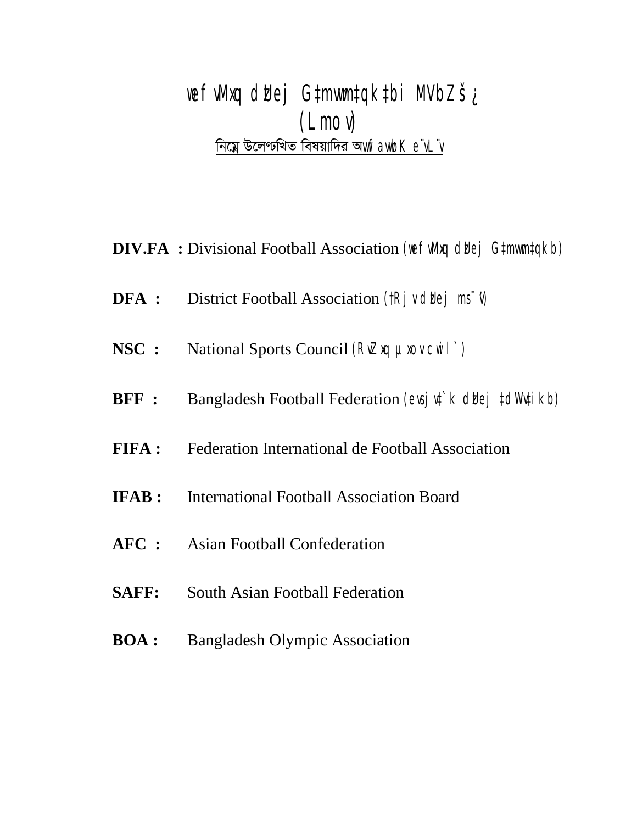*wefvMxq dzUej G‡mvwm‡qk‡bi MVbZš¿ (Lmov) শি*য়ে উলেণ্টখিত বিষয়াদির অ*wfawbK e¨vL¨v* 

**DIV.FA** : Divisional Football Association *(we fulling duej G#mwm#qkb)* 

- **DFA :** District Football Association *(†Rjv diej ms<sup>-</sup>v)*</sup>
- **NSC :** National Sports Council *(RvZxq µxov cwil`)*
- **BFF :** Bangladesh Football Federation *(evsjv‡`k digej ‡dWv#ikb)*
- **FIFA :** Federation International de Football Association
- **IFAB :** International Football Association Board
- **AFC :** Asian Football Confederation
- **SAFF:** South Asian Football Federation
- **BOA :** Bangladesh Olympic Association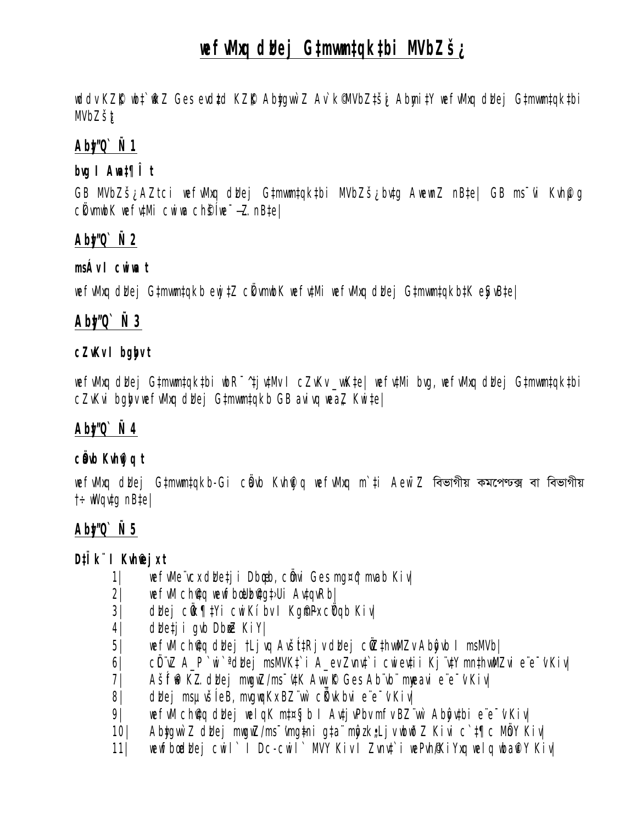# *wefvMxq dzUej G‡mvwm‡qk‡bi MVbZš¿*

*wddv KZ©"K wb‡`©wkZ Ges evdz‡d KZ©"K Aby‡gvw`Z Av`k© MVbZ‡š¿i Abymi‡Y wefvMxq dzUej G‡mvwm‡qk‡bi MVbZš¿t*

# *Aby‡"Q` Ñ 1*

# *bvg I Awa‡¶Î t*

*GB MVbZš¿ AZtci wefvMxq dzUej G‡mvwm‡qk‡bi MVbZš¿ bv‡g AwewnZ nB‡e| GB ms¯'vi Kvh©µg cÖkvmwbK wefv‡Mi cwiwa ch©šÍ we¯—…Z nB‡e|*

# *Aby‡"Q` Ñ 2*

#### *msÁv I cwiwa t*

*wefvMxq dzUej G‡mvwm‡qkb ewj‡Z cÖkvmwbK wefv‡Mi wefvMxq dzUej G‡mvwm‡qkb‡K eySvB‡e|*

# *Aby‡"Q` Ñ 3*

### *cZvKv I bgybv t*

*wefvMxq dzUej G‡mvwm‡qk‡bi wbR¯^ ‡jv‡Mv I cZvKv \_vwK‡e| wefv‡Mi bvg, wefvMxq dzUej G‡mvwm‡qk‡bi cZvKvi bglgv wefvMxq dbej G‡mwm‡qkb GB avivq weaZ Kwi‡e|* 

# *Aby‡"Q` Ñ 4*

# *cÖavb Kvh©vjq t*

*wefwMxq dbej G‡mwm‡qkb-Gi cbub Kvhi q wefwMxq m`‡i Aew¯Z* বিভাগীয় কমপেণ্ডক্স বা বিভাগীয় *†÷wWqv‡g nB‡e|*

# *Aby‡"Q` Ñ 5*

# *D‡Ïk¨ I Kvh®jxt*

- *1| wefvMe¨vcx dzUe‡ji Dbœqb, cÖmvi Ges mg¤^q mvab Kiv|*
- *2| wefvM ch©v‡q wewfbœ Uzb©v‡g‡›Ui Av‡qvRb|*
- *3| dzUej cÖwk¶‡Yi cwiKíbv I Kg©m~Px cÖYqb Kiv|*
- *4| dzUe‡ji gvb DbœxZ KiY|*
- *5| wefvM ch©v‡q dzUej †Ljvq AvšÍt‡Rjv dzUej cÖwZ‡hvwMZv Abyôvb I msMVb|*
- *6| cÖL¨vZ A\_P `wi`ª dzUej msMVK‡`i A\_ev Zvnv‡`i cwiev‡ii Kj¨v‡Y mn‡hvwMZvi e¨e¯'v Kiv|*
- *7| AšÍf~©w³K…Z dzUej mwgwZ/ms¯'v‡K Avw\_©K Ges Ab¨vb¨ myweavi e¨e¯'v Kiv|*
- *8| dzUej msµvšÍ eB, mvgwqKx BZ¨vw` cÖKvkbvi e¨e¯'v Kiv|*
- *9| wefvM ch©v‡q dzUej welqK m‡¤§jb I Av‡jvPbv mfv BZ¨vw` Abyôv‡bi e¨e¯'v Kiv|*
- *10| Aby‡gvw`Z dzUej mwgwZ/ms¯'vmg~‡ni g‡a¨ myôz k"•Ljv wbwðZ Kivi c`‡¶c MÖnY Kiv|*
- *11| wewfbœ dzUej cwil` I Dc-cwil` MVY Kiv I Zvnv‡`i wePvh©/KiYxq welq wba©viY Kiv|*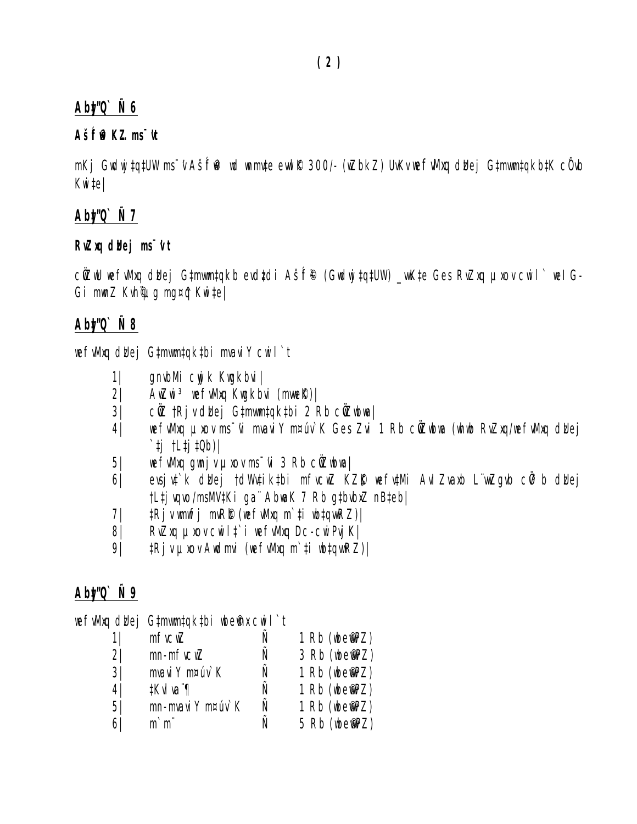# *Aby‡"Q` Ñ 6*

# *AšÍf~©w³K…Z ms¯'vt*

*mKj Gwdwj‡q‡UW ms¯'v AšÍf~©w³ wd wnmv‡e evwl©K 300/- (wZbkZ) UvKv wefvMxq dzUej G‡mvwm‡qkb‡K cÖ`vb Kwi‡e|*

# *Aby‡"Q` Ñ 7*

# *RvZxq dzUej ms¯'v t*

cÖZW wefwMxq dblej G‡mwm‡qkb evdtdi AšÍf® (Gwdwj‡q‡UW) \_wK‡e Ges RvZxq µxov cwil` wel G-*Gi mwnZ Kvh©¨µg mg¤^q Kwi‡e|*

# *Aby‡"Q` Ñ 8*

wefwMxq dbej G‡mwm‡qk‡bi mvaviY cwil`t

- *1| gnvbMi cywjk Kwgkbvi|*
- *2| AwZwi³ wefvMxq Kwgkbvi (mvwe©K)|*
- *3| cÖwZ †Rjv dzUej G‡mvwm‡qk‡bi 2 Rb cÖwZwbwa|*
- *4| wefvMxq µxov ms¯'vi mvaviY m¤úv`K Ges Zvi 1 Rb cÖwZwbwa (whwb RvZxq/wefvMxq dzUej `‡j †L‡j‡Qb)|*
- *5| wefvMxq gwnjv µxov ms¯'vi 3 Rb cÖwZwbwa|*
- *6| evsjv‡`k dzUej †dWv‡ik‡bi mfvcwZ KZ©"K wefv‡Mi AvIZvaxb L¨vwZgvb cÖv³b dzUej †L‡jvqvo/msMV‡Ki ga¨ AbwaK 7 Rb g‡bvbxZ nB‡eb|*
- *7| ‡Rjv wmwfj mvR©b (wefvMxq m`‡i wb‡qvwRZ)|*
- *8| RvZxq µxov cwil‡`i wefvMxq Dc-cwiPvjK|*
- *9| ‡Rjv µxov Awdmvi (wefvMxq m`‡i wb‡qvwRZ)|*

# *Aby‡"Q` Ñ 9*

|                | wefwluq dbej Gtmwmtqktbi wbefnu cwil`t |   |               |
|----------------|----------------------------------------|---|---------------|
|                | $m$ <i>ficm</i> $Z$                    |   | 1 Rb (wbemPZ) |
| $2\sqrt{2}$    | $mn-mf$ $vcwZ$                         |   | 3 Rb (wbemPZ) |
| 3 <sup>1</sup> | mvavi Y m¤úv`K                         | Ñ | 1 Rb (wbemPZ) |
| 4 <sup>1</sup> | #KvIva"¶                               |   | 1 Rb (wbemPZ) |
| 5/             | mn-mvavi Y m¤úv`K                      | Ñ | 1 Rb (wbemPZ) |
| 61             | $m$ <sup>-</sup> $m$ <sup>"</sup>      |   | 5 Rb (wbemPZ) |
|                |                                        |   |               |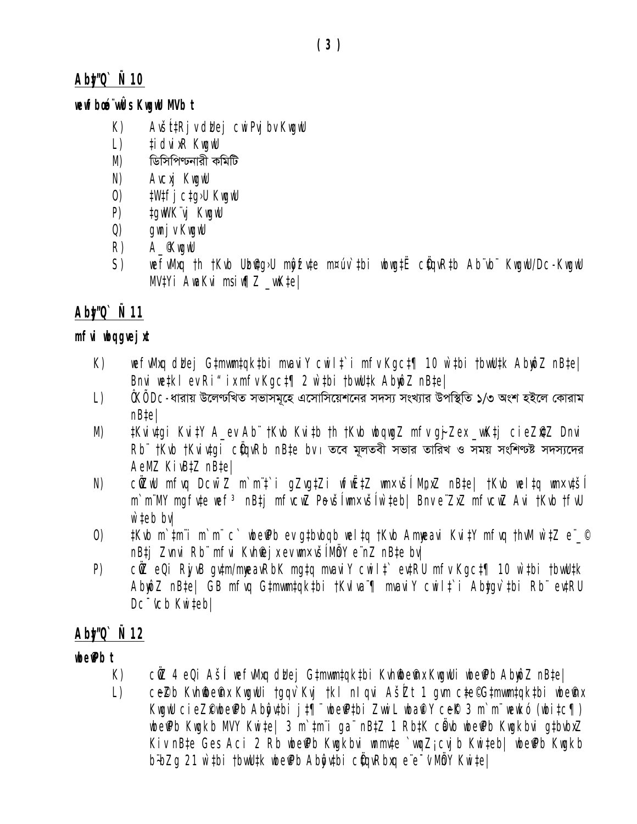# Abt/Q` Ñ 10

# newFboo"wÛs KwgwU MVb t

- $K)$ Avšítki v duei cwi Pvi by Kwawu
- ti dvi xR KwawU  $\lfloor$ )
- $M)$ ডিসিপিণ্ডনারী কমিটি
- N) **AVCXI KNOWU**
- $\left( 0\right)$ **#W#ficta>U KwawU**
- $P$ tawWK"vi KwawU
- $Q)$ gunj v KuguU
- R) A *KwgwU*
- $S$ ) wefuMxq th tKvb Ubiqq>U morfute m¤úv`tbi wbwqtË cüqvRtb Ab vb" KwgwU/Dc-KwgwU  $MVIYi$  AwaKvi msiw $\eta Z$  wwktel

# Abt/0  $\tilde{N}$  11

# mfvi ubqgvej xt

- wefuMxq duej Gtmwmtqktbi mvaviY cwilt`i mfv Kgct¶ 10 w`tbi tbwUtk AbmoZ nBtel  $K)$ Bnvi wetkl ev Ri" ix mfv Kgct¶ 2 w`tbi tbwUtk AbmpZ nBtel
- ÅKÅ Dc-ধারায় উলেণ্ডখিত সভাসমূহে এসোসিয়েশনের সদস্য সংখ্যার উপস্থিতি ১/৩ অংশ হইলে কোরাম  $\lfloor$ ) nB‡e|
- #Kvivtgi Kvi#Y A ev Ab" †Kvb Kvi#b †h †Kvb wbgwgZ mfv gj-Zex wK#j cieZ@Z Dnvi# M)  $Rb$ "  $t$ Kib  $t$ Kii itai  $c$ Üair $Rb$  nBte bi e তবে মূলতবী সভার তারিখ ও সময় সংশিণ্ট সদস্যদের AeMZ KivBtZ nBtel
- cůZwU mfvq Dcw<sup>-</sup>Z m`m't`i gZvgtZi wfwËtZ wm×vší MpxZ nBte| tKvb weltq wn×vtší N) m'm'MY mafute wef<sup>3</sup> nBti mfucwZ Pevšlwn×všlw'teb| Bnv e ZxZ mfucwZ Avi tKub tfuU  $w$  teb by  $l$
- $t$ Kvb m`tmi m`mi c` wbefPb ev gtbvbqb weltq tKvb Ammeavi KvitY mfvq thvM w`tZ e`\_©  $\left( 0\right)$ nB‡j Zvnvi Rb mfvi Kvhfej x ev m×všíMôY e nZ nB‡e bv|
- $P$ ) cûZ eQi Riv<sub>i</sub>B qutm/mmeavRbK mqtq mvaviY cwilt` evtRU mfv Kqct¶ 10 w`tbi tbwUtk AbmôZ nBte| GB mfvg Gtmwmtgktbi †Kvlva ¶ mvaviY cwilt`i Abtgv`tbi Rb evtRU Dc "vcb Kwitebl

# Abt/Q` N 12

# $\mathbf{w}$   $\mathbf{w}$   $\mathbf{w}$   $\mathbf{w}$

- $K$ ) cûZ 4 eQi Ašli wefvMxq dldej G‡mwm‡qk‡bi Kvhildeinx KwqwUi wbeiPb AbwôZ nB‡e|
- $\lfloor$ ) ceZb Kvhiibein KuguUi tggv`Kvj tkl nlgvi AšZt 1 gvm cte©Gtmwmtgktbi ubeinx KuguU cieZ@ube@b Abôytbi jt¶ ube@tbi ZwiL uba@Y ce& 3 m`m ueukó (ubitc¶) wbe Pb Kwakb MVY Kwite | 3 m`tm¨i ga¨ nBtZ 1 RbtK cằvb wbe Pb Kwakbvi qtbvbxZ Kiv nBte Ges Aci 2 Rb wbe Pb Kwakbvi wnmute `waZi cvib Kwiteb| wbe Pb Kwakb b bzq 21 w tbi tbwUtk wbe Pb Aboutbi cüquRbuq e e v Möy Kwitel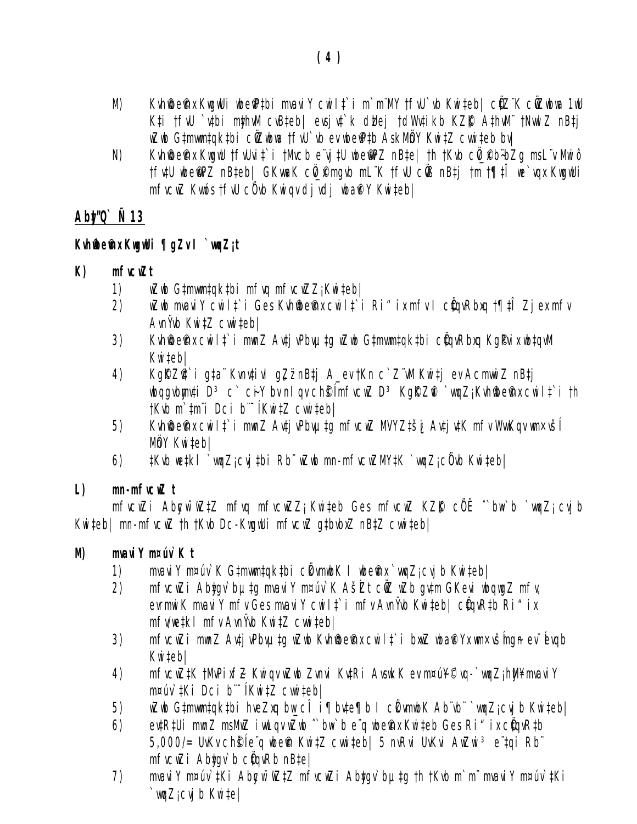- Kuhfbeffux KırgılUi ubefPtbi mvavi Y cwilt`i m`m"MY tfvU`vb Kwiteb| cüZ"K cüZubwa 1uU M) K‡i †fvU `v‡bi m\$hvM cvB‡eb| evsjv‡`k d'Mej †d'Wv‡ikb KZfK A‡hvM" †NvwlZ nB‡j wZwb G‡mwm‡gk‡bi cŴZwbwa †fvU`vb ev wbeiP‡b AskMbY Kwi‡Z cwwi‡eb bv|
- Kuhftbeffux KuguU tfuUvit`i tMucbevitU ubeffPZ nBtel th tKub cü Pb+bZq msL v Mwiô  $N)$ tfutU ubemPZ nBteb| GKwaK cü Pmqub mL K tfuU cüß nBti tm t¶tî we`vqx KwqwUi mfvcwZ Kvwós tfvU c0vb Kwigy divdi wbañ Y Kwitebl

# Abt/Q`  $\tilde{N}$  13

# Kuhiibe@nx KuguUi ¶gZv I`wgZjt

#### $K$ mfucuZt

- wZwb Gtmwmtqktbi mfvq mfvcwZZ; Kwiteb| 1)
- $(2)$ wZwb mvavi Y cwilt`i Ges Kvhiibeinx cwilt`i Ri"ix mfv I cügvRbxg †¶‡Î Zjex mfv  $A$ *vnŸvb KwitZ cwitebl*
- Kvhildefra cwilt i mwnZ Avtj vPbvµtg wZwb Gtmwmtqktbi cÜqvRbxq KgPvix wbtqvM  $3)$ Kwitebl
- KgRZQ`i gta Kvnvțivl qZznBtj A\_ev tKn c`Z W Kwitj ev AcmwiZ nBtj 4) wbqqvbmuti D<sup>3</sup> c` ciY bu n1 qu ch§1mfucwZ D<sup>3</sup> KqRZfl`wqZj Kuhfbefnx cwilt`i th tKvb m`tm"i Dci b"<sup>-</sup>(KwitZ cwniteb)
- $5)$ Kvhildein x cwilt`i mwnZ Avtj vPbvµtq mfvcwZ MVYZtši Avtj vtK mfv WwwKqv wn×všl MÖY Kwitebl
- #Kvb we#kl `wqZjcvj#bi Rb" wZwb mn-mfvcwZMY#K `wqZjc0vb Kwi#ebl 6)

#### $L$  $mn-m$ fici $\mathbb Z$ t

 $m$ fvcwZi Abgw<sup>-</sup>wZtZ mfvq mfvcwZZ<sub>i</sub> Kwiteb Ges mfvcwZ KZ $R$  c $\ddot{\theta}$ E ^`bw`b `wqZ<sub>i</sub> cvjb Kwiteb| mn-mfvcwZ th tKvb Dc-KwgwUi mfvcwZ gtbvbxZ nBtZ cwwiteb|

#### M) mvavi Y m¤úv` K t

- mvavi Y m¤úv` K G‡mwm‡qk‡bi ckwmwbK I wbemnavinqZjcvjb Kwi‡eb|  $1)$
- mfvcwZi Abtgv`bµtg mvaviY m¤úv`K AšŹt cŵZ wZb gvtm GKevi wbqwgZ mfv, 2) evrmwi K mvavi Y mfv Ges mvavi Y cwilt`i mfv Avnivb Kwiteb | cüqvRtb Ri" ix mfv/wetki mfv AvnYvb KwitZ cwwitebl
- mfvcwZi mwnZ Avți vPbvµțg wZwb Kvhiibeinx cwilț`i bxwZ wbañ Yx wn×všmgn ev évqb  $3)$ Kwiteb|
- mfvcwZ#K tMvPixfZ Kwiqv wZwb Zvnvi Kv#Ri AvswkK ev m¤ú¥©vq-`wqZj hW¥-mvaviY 4) m¤úv`‡Ki Dci b¨ (Kwi‡Z cwwi‡eb|
- wZwb Gtmwmtqktbi hveZxq bw\_c $\widehat{I}$  i¶bvte¶b I c $\ell$ wmwbK Ab vb ``wqZj cvj b Kwiteb| 5)
- ev‡R‡Ui mwnZ msMwZ iwwLqv wZwb "bw `b e"q wbefnx Kwiteb Ges Ri" ix c@gvRtb 6) 5,000/= UvKv ch§le q wbem Kwitz cwwiteb | 5 nvRvi UvKvi AwZwi 3 e tqi Rb mfvcwZi Abtgv`b c@gvRb nBtel
- mvavi Y m¤úv`tKi Abgw<sup>-</sup>wZtZ mfvcwZi Abtgv`butg th tKvb m`m" mvavi Y m¤úv`tKi  $7)$  $\gamma$ wqZj cvj b Kwitel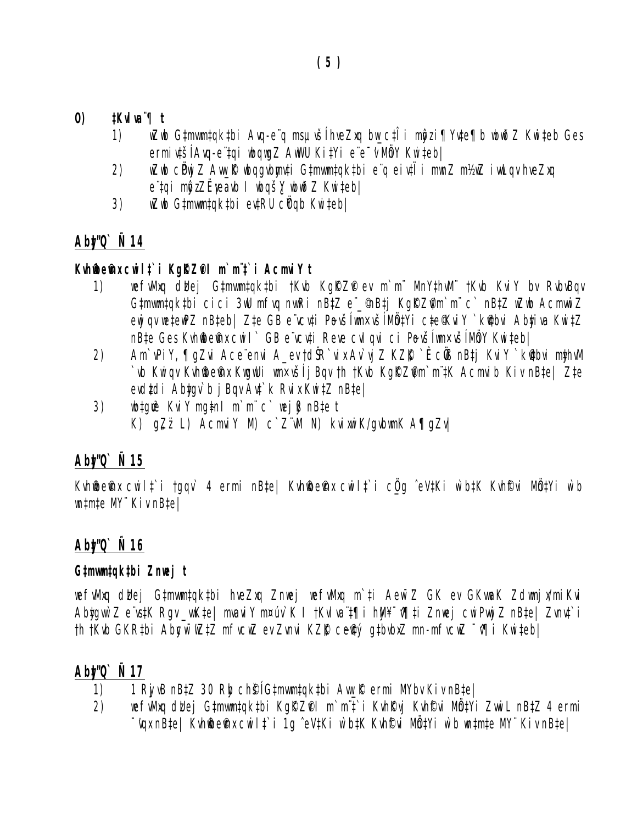- $\boldsymbol{\theta}$  $t$ Kvlva $\mathcal{F}$ l $t$ 
	- wZwb G‡mwm‡qk‡bi Avq-e¨q msµvšĺhveZxq bw\_c‡Îi mĝzi¶Yv‡e¶b wbwðZ Kwi‡eb Ges 1) ermivtší Avg-e tai wbawaZ AwWU KitYi e e w Mm Y Kwitebl
	- wZwb cëwj Z Awy K wbggybngwti Gtmwmtqktbi e q eiuti i mwnZ m½wZ iwwLgy hyeZxg  $(2)$ e tgi mộzZËyeavb I ubgš, ubuð Z Kwiteb/
	- wZwb G‡mwm‡qk‡bi ev‡RU cŸqb Kwi‡eb| 3)

# Abt/0  $\tilde{N}$  14

# Kuhmems cuilt i Karzel m'm't i Acmviyt

- $1)$ wefuMxg didej Gtmwmtgktbi †Kvb KgRZP ev m`m" MnYthvM" †Kvb KviY by RvbvBgv Gtmwmtqktbi cici 3wU mfvq nwRi nBtZ e \_ MBtj KqRZim`m~c` nBtZ wZwb AcmwwiZ ewi gv wetewPZ nBteb| Zte GB e vcvti Povšíwn×všíMůtYi cte%viY `k@bvi Abtiva KwitZ nB‡e Ges Kvhffbefnx cwil` GB e vcv‡i Reve cvl qvi ci Pevšlwn×všlMåY Kwi‡ebl
- Am PiY, Tazvi Ace envi A ev td SR vix Av vi Z KZK · Êc OS nBti KviY · Ketbvi mthwM 2) `vb Kwiqv Kvhffbefnx KwgwUi wn×všíjBqv th tKvb Kgf(Zim^m^#K Acmvib Kiv nBte| Zte evdtdi Abtav`b i Bav Avt`k Rvix KwitZ nBtel
- wbtgw<sup>3</sup> KviY mgtnl m`m" c` wejß nBte t  $3)$ K)  $qZ\ddot{z}$  L)  $AcmviY$  M)  $c$   $Z\ddot{w}$  N)  $kvi$   $\ddot{w}i$   $K/qv$   $b\ddot{w}nK$   $A\overline{q}qZv$

# Abt/Q`  $\tilde{N}$  15

Kuhftbeffux cwilt`i tagu` 4 ermi nBte| Kuhftbeffux cwilt`i cüg ^eVtKi w`btK Kuhffui MbtYi w`b  $m$ tm‡e MY" KivnB‡e|

# Abt/Q` Ñ 16

# G‡mwm‡qk‡bi Znwej t

wefuMxq dbej Gtmwmtqktbi hveZxq Znwej wefuMxq m`ti Aew~Z GK ev GKwaK Zdwnjx/miKvi Abtawn Z e vstK Rav wkte | mvavi Y m¤úv K I tKvlva t¶i hM¥ -v¶ti Znuej cwiPwi Z nBte | Zvnvt i th tKvb GKRtbi Abgw WZtZ mfvcwZ ev Zvnvi KZR ceftý gtbvbxZ mn-mfvcwZ ~19i Kwitebl

# Abt/Q` Ñ 17

- 1 RivB nB‡Z 30 Rbg ch§ G#mwm#qk#bi Aw\_R ermi MYbv Kiv nB#e| 1)
- wefuMxq duej Gtmwmtqktbi KgRZPI m`mit`i KvhRvj KvhFvi MbtYi ZwwiLnBtZ 4 ermi 2) "vqx nBte| Kvhfbefnx cwilt`i 1g ^eVtKi w`btK Kvhf<sup>6</sup>vi MbtYi w`b wntmte MY" Kiv nBte|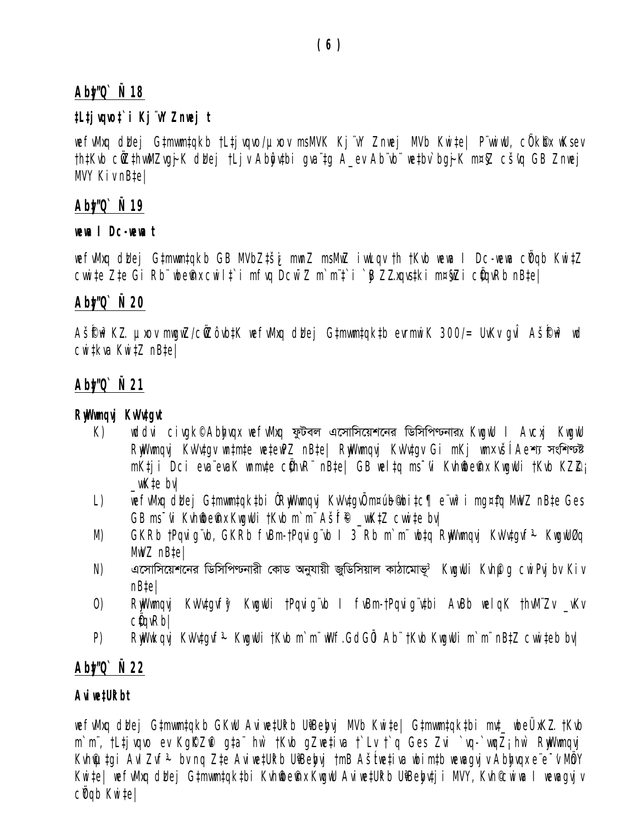# *Aby‡"Q` Ñ 18*

# *‡L‡jvqvo‡`i Kj¨vY Znwej t*

wefwMxq dbej G‡mwm‡qkb †L‡jvqvo/µxov msMVK Kj¨vY Znwej MVb Kwi‡e| P¨wwiwU, cÖk®x wKsev *†h‡Kvb cÖwZ‡hvwMZvg~jK dzUej †Ljv Abyôv‡bi gva¨‡g A\_ev Ab¨vb¨ we‡bv`bg~jK m¤§Z cš'vq GB Znwej MVY Kiv nB‡e|* 

# *Aby‡"Q` Ñ 19*

#### *wewa I Dc-wewa t*

*wefvMxq dzUej G‡mvwm‡qkb GB MVbZ‡š¿i mwnZ msMwZ ivwLqv †h †Kvb wewa I Dc-wewa cÖYqb Kwi‡Z cvwi‡e Z‡e Gi Rb¨ wbe©vnx cwil‡`i mfvq Dcw¯'Z m`m¨‡`i `yB Z…Zxqvs‡ki m¤§wZi cÖ‡qvRb nB‡e|* 

# *Aby‡"Q` Ñ 20*

*AšÍ©f~w³K…Z µxov mwgwZ/cÖwZôvb‡K wefvMxq dzUej G‡mvwm‡qk‡b evrmwiK 300/= UvKv gvÎ AšÍ©f~w³ wd cwi‡kva Kwi‡Z nB‡e|* 

# *Aby‡"Q` Ñ 21*

### *RywWwmqvj KvVv‡gvt*

- *K*) *wddvi civgk© Abbygx wefwMxq ফুটবল* এসোসিয়েশনের ডিসিপিণ্টনার*x KwgwU I Avcxj KwgwU RyWwmqvj KvVv‡qv wn‡m‡e we‡ewPZ nB‡e| RyWwmqvj KvVv‡qv Gi mKj wm×všĺ Ae<sup>\*</sup>া সংশিণ্ট mK‡ji Dci eva¨evaK wnmv‡e cÖ‡hvR¨ nB‡e| GB wel‡q ms¯'vi Kvh©wbe©vnx KwgwUi †Kvb KZ…©Z¡ \_vwK‡e bv|*
- L) wefwMxq dkej G‡mwm‡qk‡bi ÔRwWwmqvi KvVv‡qvÕ m¤úb¶bi‡c¶ e¨wr<sup>3</sup>i mg¤‡q MwVZ nB‡e Ges *GB ms<sup>-</sup>vi Kvhffbefnx KwgwUi †Kvb m`m" Ašff® \_wK‡Z cwwi#e bv|*
- *M) GKRb †Pqvig¨vb, GKRb fvBm-†Pqvig¨vb I 3 Rb m`m¨ wb‡q RywWwmqvj KvVv‡gvf~³ KwgwUØq MwVZ nB‡e|*
- *N) G‡mvwm‡qk‡bi wWwmwcbvix †KvW Abyhvqx RywWwmqvj KvVv‡gvf~³ KwgwUi Kvh©µg cwiPvjbv Kiv nB‡e|*
- *O) RywWwmqvj KvVv‡gvfy³ KwgwUi †Pqvig¨vb I fvBm-†Pqvig¨v‡bi AvBb welqK †hvM¨Zv \_vKv cÖ‡qvRb|*
- *P) RywWwkqvj KvVv‡gvf~³ KwgwUi †Kvb m`m¨ wWf.GdGÕi Ab¨ †Kvb KwgwUi m`m¨ nB‡Z cvwi‡eb bv|*

# *Aby‡"Q` Ñ 22*

# *Aviwe‡Uªkbt*

wefwMxq dWej G‡mwm‡qkb GKwU Aviwe‡Ukb UiBebyj MVb Kwi‡e| G‡mwm‡qk‡bi mvt\_ wbeÜxKZ.†Kvb *m*`m¨, †L‡jvqvo ev Kg $RZ$  g‡a¨ hw` †Kvb gZwe‡iva †`Lv †`q Ges Zvi `vq-`wqZ; hw` RwWwmqvj *Kvhi*futgi Avi Zvf<sup>3</sup> bv ng Zte AviwetUkb UiBebyj †mB Ašťue‡iva wbimtb wewagvjv Abbygx e¨e¯v MônY *Kwi‡e| wefvMxq dbej G‡mwm‡qk‡bi Kvh@e@nx KwgwU Aviwe‡Ukb UiBeby‡ji MVY, Kvh©wiwa I wewagvjv cÖYqb Kwi‡e|*